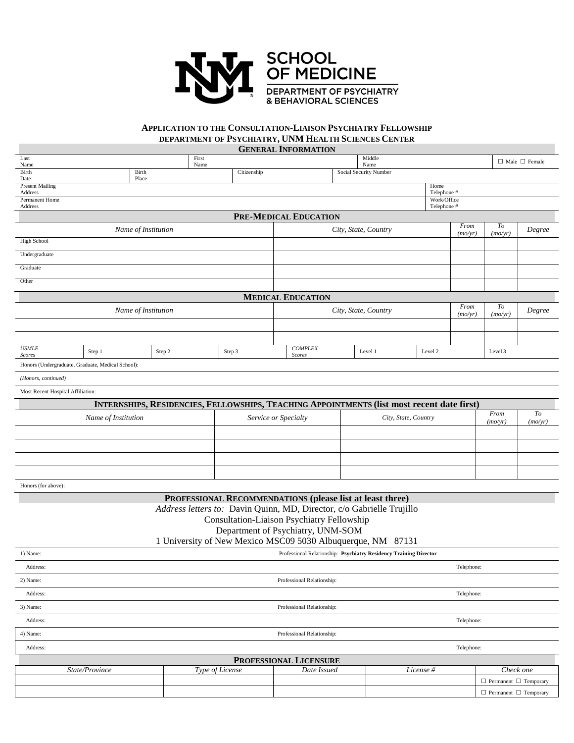

## **APPLICATION TO THE CONSULTATION-LIAISON PSYCHIATRY FELLOWSHIP DEPARTMENT OF PSYCHIATRY, UNM HEALTH SCIENCES CENTER**

**GENERAL INFORMATION**

|                                                   |                     |                     |               |                 |                            | UENERAL INFURNIATION                                                  |                        |                                                                                            |             |                 |                                   |                           |
|---------------------------------------------------|---------------------|---------------------|---------------|-----------------|----------------------------|-----------------------------------------------------------------------|------------------------|--------------------------------------------------------------------------------------------|-------------|-----------------|-----------------------------------|---------------------------|
| Last<br>Name                                      |                     |                     | First<br>Name |                 |                            |                                                                       |                        | Middle<br>Name                                                                             |             |                 |                                   | $\Box$ Male $\Box$ Female |
| Birth<br>Date                                     | Birth<br>Place      |                     |               | Citizenship     |                            |                                                                       | Social Security Number |                                                                                            |             |                 |                                   |                           |
| <b>Present Mailing</b>                            |                     |                     |               |                 |                            |                                                                       |                        |                                                                                            | Home        |                 |                                   |                           |
| Address<br>Permanent Home<br>Address              |                     |                     |               |                 | Telephone #<br>Work/Office |                                                                       |                        |                                                                                            |             |                 |                                   |                           |
|                                                   |                     |                     |               |                 |                            | PRE-MEDICAL EDUCATION                                                 |                        |                                                                                            | Telephone # |                 |                                   |                           |
|                                                   |                     |                     |               |                 |                            |                                                                       |                        |                                                                                            |             | $From$          | To                                |                           |
| <b>High School</b>                                |                     | Name of Institution |               |                 |                            | City, State, Country                                                  |                        |                                                                                            |             | (mo/yr)         | (mo/yr)                           | Degree                    |
| Undergraduate                                     |                     |                     |               |                 |                            |                                                                       |                        |                                                                                            |             |                 |                                   |                           |
|                                                   |                     |                     |               |                 |                            |                                                                       |                        |                                                                                            |             |                 |                                   |                           |
| Graduate                                          |                     |                     |               |                 |                            |                                                                       |                        |                                                                                            |             |                 |                                   |                           |
| Other                                             |                     |                     |               |                 |                            |                                                                       |                        |                                                                                            |             |                 |                                   |                           |
|                                                   |                     |                     |               |                 |                            | <b>MEDICAL EDUCATION</b>                                              |                        |                                                                                            |             |                 |                                   |                           |
|                                                   |                     | Name of Institution |               |                 |                            |                                                                       | City, State, Country   |                                                                                            |             | From<br>(mo/yr) | To<br>(mo/yr)                     | Degree                    |
|                                                   |                     |                     |               |                 |                            |                                                                       |                        |                                                                                            |             |                 |                                   |                           |
|                                                   |                     |                     |               |                 |                            |                                                                       |                        |                                                                                            |             |                 |                                   |                           |
| <b>USMLE</b><br>Scores                            | Step 1              | Step 2              |               | Step 3          |                            | <b>COMPLEX</b><br><b>Scores</b>                                       |                        | Level 1                                                                                    | Level 2     |                 | Level 3                           |                           |
| Honors (Undergraduate, Graduate, Medical School): |                     |                     |               |                 |                            |                                                                       |                        |                                                                                            |             |                 |                                   |                           |
| (Honors, continued)                               |                     |                     |               |                 |                            |                                                                       |                        |                                                                                            |             |                 |                                   |                           |
| Most Recent Hospital Affiliation:                 |                     |                     |               |                 |                            |                                                                       |                        |                                                                                            |             |                 |                                   |                           |
|                                                   |                     |                     |               |                 |                            |                                                                       |                        | INTERNSHIPS, RESIDENCIES, FELLOWSHIPS, TEACHING APPOINTMENTS (list most recent date first) |             |                 |                                   |                           |
|                                                   | Name of Institution |                     |               |                 |                            | Service or Specialty                                                  | City, State, Country   |                                                                                            |             |                 | To<br>(mo/yr)                     |                           |
|                                                   |                     |                     |               |                 |                            |                                                                       |                        |                                                                                            |             |                 | (mo/yr)                           |                           |
|                                                   |                     |                     |               |                 |                            |                                                                       |                        |                                                                                            |             |                 |                                   |                           |
|                                                   |                     |                     |               |                 |                            |                                                                       |                        |                                                                                            |             |                 |                                   |                           |
|                                                   |                     |                     |               |                 |                            |                                                                       |                        |                                                                                            |             |                 |                                   |                           |
| Honors (for above):                               |                     |                     |               |                 |                            |                                                                       |                        |                                                                                            |             |                 |                                   |                           |
|                                                   |                     |                     |               |                 |                            | PROFESSIONAL RECOMMENDATIONS (please list at least three)             |                        |                                                                                            |             |                 |                                   |                           |
|                                                   |                     |                     |               |                 |                            | Address letters to: Davin Quinn, MD, Director, c/o Gabrielle Trujillo |                        |                                                                                            |             |                 |                                   |                           |
|                                                   |                     |                     |               |                 |                            | Consultation-Liaison Psychiatry Fellowship                            |                        |                                                                                            |             |                 |                                   |                           |
|                                                   |                     |                     |               |                 |                            | Department of Psychiatry, UNM-SOM                                     |                        |                                                                                            |             |                 |                                   |                           |
|                                                   |                     |                     |               |                 |                            | 1 University of New Mexico MSC09 5030 Albuquerque, NM 87131           |                        |                                                                                            |             |                 |                                   |                           |
| 1) Name:                                          |                     |                     |               |                 |                            |                                                                       |                        | Professional Relationship: Psychiatry Residency Training Director                          |             |                 |                                   |                           |
| Address:                                          |                     |                     |               |                 |                            |                                                                       |                        |                                                                                            |             | Telephone:      |                                   |                           |
| 2) Name:                                          |                     |                     |               |                 |                            | Professional Relationship:                                            |                        |                                                                                            |             |                 |                                   |                           |
| Address:                                          |                     |                     |               |                 |                            |                                                                       |                        |                                                                                            |             | Telephone:      |                                   |                           |
| 3) Name:                                          |                     |                     |               |                 |                            | Professional Relationship:                                            |                        |                                                                                            |             |                 |                                   |                           |
| Address:                                          |                     |                     |               |                 |                            |                                                                       |                        |                                                                                            |             | Telephone:      |                                   |                           |
| 4) Name:                                          |                     |                     |               |                 |                            | Professional Relationship:                                            |                        |                                                                                            |             |                 |                                   |                           |
| Address:                                          |                     |                     |               |                 |                            |                                                                       |                        |                                                                                            |             | Telephone:      |                                   |                           |
|                                                   |                     |                     |               |                 |                            | PROFESSIONAL LICENSURE                                                |                        |                                                                                            |             |                 |                                   |                           |
|                                                   | State/Province      |                     |               | Type of License |                            | Date Issued                                                           | License #              |                                                                                            |             |                 | Check one                         |                           |
|                                                   |                     |                     |               |                 |                            |                                                                       |                        |                                                                                            |             |                 | $\Box$ Permanent $\Box$ Temporary |                           |
|                                                   |                     |                     |               |                 |                            |                                                                       |                        |                                                                                            |             |                 | $\Box$ Permanent $\Box$ Temporary |                           |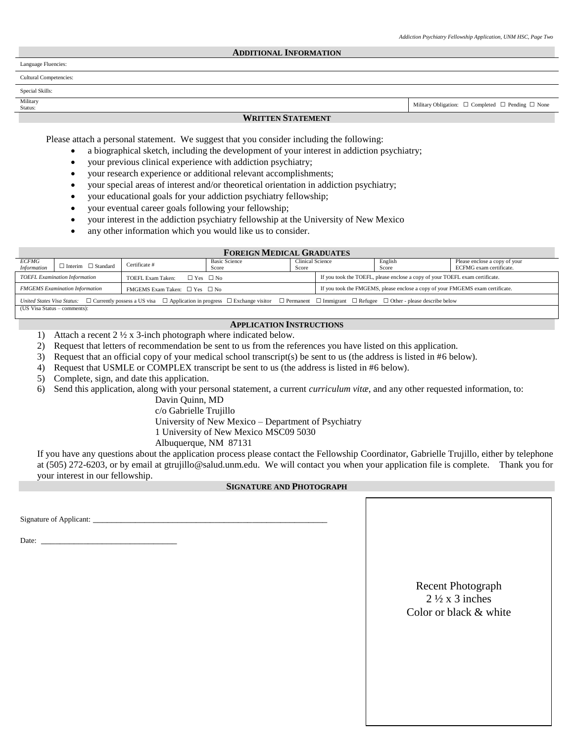#### **ADDITIONAL INFORMATION**

Language Fluencies:

Cultural Competencies:

Special Skills:

# Military<br>Status:

#### **WRITTEN STATEMENT**

Military Obligation:  $\Box$  Completed  $\Box$  Pending  $\Box$  None

Please attach a personal statement. We suggest that you consider including the following:

- a biographical sketch, including the development of your interest in addiction psychiatry;
- your previous clinical experience with addiction psychiatry;
- your research experience or additional relevant accomplishments;
- your special areas of interest and/or theoretical orientation in addiction psychiatry;
- your educational goals for your addiction psychiatry fellowship;
- your eventual career goals following your fellowship;
- your interest in the addiction psychiatry fellowship at the University of New Mexico
- any other information which you would like us to consider.

## **FOREIGN MEDICAL GRADUATES**

| <i>ECFMG</i><br><b>Information</b>                                                                                                                                                                            | $\Box$ Interim $\Box$ Standard | Certificate #                                  | <b>Basic Science</b><br>Score | <b>Clinical Science</b><br>Score |                                                                                | English<br>Score | Please enclose a copy of your<br>ECFMG exam certificate. |  |  |
|---------------------------------------------------------------------------------------------------------------------------------------------------------------------------------------------------------------|--------------------------------|------------------------------------------------|-------------------------------|----------------------------------|--------------------------------------------------------------------------------|------------------|----------------------------------------------------------|--|--|
| <b>TOEFL Examination Information</b>                                                                                                                                                                          |                                | TOEFL Exam Taken:<br>$\Box$ Yes $\Box$ No      |                               |                                  | If you took the TOEFL, please enclose a copy of your TOEFL exam certificate.   |                  |                                                          |  |  |
| <b>FMGEMS</b> Examination Information                                                                                                                                                                         |                                | <b>FMGEMS</b> Exam Taken: $\Box$ Yes $\Box$ No |                               |                                  | If you took the FMGEMS, please enclose a copy of your FMGEMS exam certificate. |                  |                                                          |  |  |
| $\Box$ Currently possess a US visa $\Box$ Application in progress $\Box$ Exchange visitor $\Box$ Permanent $\Box$ Immigrant $\Box$ Refugee $\Box$ Other - please describe below<br>United States Visa Status: |                                |                                                |                               |                                  |                                                                                |                  |                                                          |  |  |

(US Visa Status – comments):

## **APPLICATION INSTRUCTIONS**

- 1) Attach a recent 2 ½ x 3-inch photograph where indicated below.
- 2) Request that letters of recommendation be sent to us from the references you have listed on this application.
- 3) Request that an official copy of your medical school transcript(s) be sent to us (the address is listed in #6 below).
- 4) Request that USMLE or COMPLEX transcript be sent to us (the address is listed in #6 below).
- 5) Complete, sign, and date this application.
- 6) Send this application, along with your personal statement, a current *curriculum vitæ*, and any other requested information, to:

Davin Quinn, MD c/o Gabrielle Trujillo University of New Mexico – Department of Psychiatry 1 University of New Mexico MSC09 5030 Albuquerque, NM 87131

If you have any questions about the application process please contact the Fellowship Coordinator, Gabrielle Trujillo, either by telephone at (505) 272-6203, or by email at gtrujillo@salud.unm.edu. We will contact you when your application file is complete. Thank you for your interest in our fellowship.

### **SIGNATURE AND PHOTOGRAPH**

Signature of Applicant: \_\_\_\_\_\_\_\_\_\_\_\_\_\_\_\_\_\_\_\_\_\_\_\_\_\_\_\_\_\_\_\_\_\_\_\_\_\_\_\_\_\_\_\_\_\_\_\_\_\_

Date:

## Recent Photograph  $2\frac{1}{2}$  x 3 inches Color or black & white